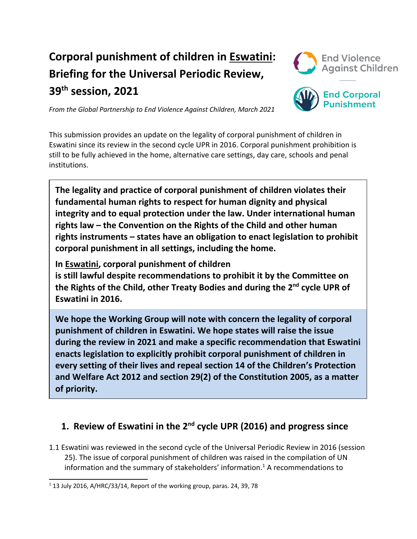# **Corporal punishment of children in Eswatini: Briefing for the Universal Periodic Review, 39th session, 2021**



*From the Global Partnership to End Violence Against Children, March 2021*

**End Corporal Punishment** 

This submission provides an update on the legality of corporal punishment of children in Eswatini since its review in the second cycle UPR in 2016. Corporal punishment prohibition is still to be fully achieved in the home, alternative care settings, day care, schools and penal institutions.

**The legality and practice of corporal punishment of children violates their fundamental human rights to respect for human dignity and physical integrity and to equal protection under the law. Under international human rights law – the Convention on the Rights of the Child and other human rights instruments – states have an obligation to enact legislation to prohibit corporal punishment in all settings, including the home.**

**In Eswatini, corporal punishment of children**

**is still lawful despite recommendations to prohibit it by the Committee on the Rights of the Child, other Treaty Bodies and during the <sup>2</sup>nd cycle UPR of Eswatini in 2016.**

**We hope the Working Group will note with concern the legality of corporal punishment of children in Eswatini. We hope states will raise the issue during the review in 2021 and make <sup>a</sup> specific recommendation that Eswatini enacts legislation to explicitly prohibit corporal punishment of children in every setting of their lives and repeal section 14 of the Children'<sup>s</sup> Protection and Welfare Act 2012 and section 29(2) of the Constitution 2005, as <sup>a</sup> matter of priority.**

## **1. Review of Eswatini in the 2nd cycle UPR (2016) and progress since**

1.1 Eswatini was reviewed in the second cycle of the Universal Periodic Review in 2016 (session 25). The issue of corporal punishment of children was raised in the compilation of UN information and the summary of stakeholders' information. 1 A recommendations to

 $1$  13 July 2016, A/HRC/33/14, Report of the working group, paras. 24, 39, 78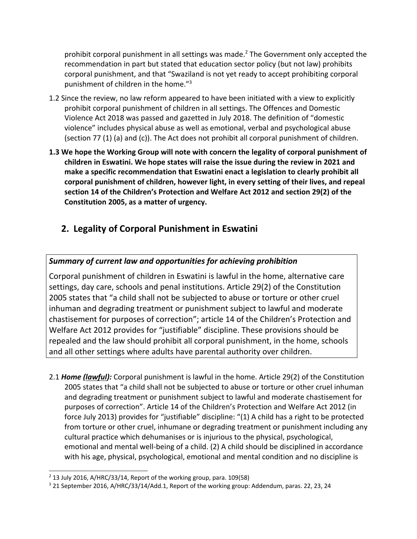prohibit corporal punishment in all settings was made. 2 The Government only accepted the recommendation in part but stated that education sector policy (but not law) prohibits corporal punishment, and that "Swaziland is not yet ready to accept prohibiting corporal punishment of children in the home." 3

- 1.2 Since the review, no law reform appeared to have been initiated with <sup>a</sup> view to explicitly prohibit corporal punishment of children in all settings. The Offences and Domestic Violence Act 2018 was passed and gazetted in July 2018. The definition of "domestic violence" includes physical abuse as well as emotional, verbal and psychological abuse (section 77 (1) (a) and (c)). The Act does not prohibit all corporal punishment of children.
- **1.3 We hope the Working Group will note with concern the legality of corporal punishment of children in Eswatini. We hope states will raise the issue during the review in 2021 and make <sup>a</sup> specific recommendation that Eswatini enact <sup>a</sup> legislation to clearly prohibit all corporal punishment of children, however light, in every setting of their lives, and repeal section 14 of the Children'<sup>s</sup> Protection and Welfare Act 2012 and section 29(2) of the Constitution 2005, as <sup>a</sup> matter of urgency.**

# **2. Legality of Corporal Punishment in Eswatini**

#### *Summary of current law and opportunities for achieving prohibition*

Corporal punishment of children in Eswatini is lawful in the home, alternative care settings, day care, schools and penal institutions. Article 29(2) of the Constitution 2005 states that "<sup>a</sup> child shall not be subjected to abuse or torture or other cruel inhuman and degrading treatment or punishment subject to lawful and moderate chastisement for purposes of correction"; article 14 of the Children'<sup>s</sup> Protection and Welfare Act 2012 provides for "justifiable" discipline. These provisions should be repealed and the law should prohibit all corporal punishment, in the home, schools and all other settings where adults have parental authority over children.

2.1 *Home (lawful):* Corporal punishment is lawful in the home. Article 29(2) of the Constitution 2005 states that "<sup>a</sup> child shall not be subjected to abuse or torture or other cruel inhuman and degrading treatment or punishment subject to lawful and moderate chastisement for purposes of correction". Article 14 of the Children'<sup>s</sup> Protection and Welfare Act 2012 (in force July 2013) provides for "justifiable" discipline: "(1) A child has <sup>a</sup> right to be protected from torture or other cruel, inhumane or degrading treatment or punishment including any cultural practice which dehumanises or is injurious to the physical, psychological, emotional and mental well-being of <sup>a</sup> child. (2) A child should be disciplined in accordance with his age, physical, psychological, emotional and mental condition and no discipline is

<sup>2</sup> 13 July 2016, A/HRC/33/14, Report of the working group, para. 109(58)

<sup>&</sup>lt;sup>3</sup> 21 September 2016, A/HRC/33/14/Add.1, Report of the working group: Addendum, paras. 22, 23, 24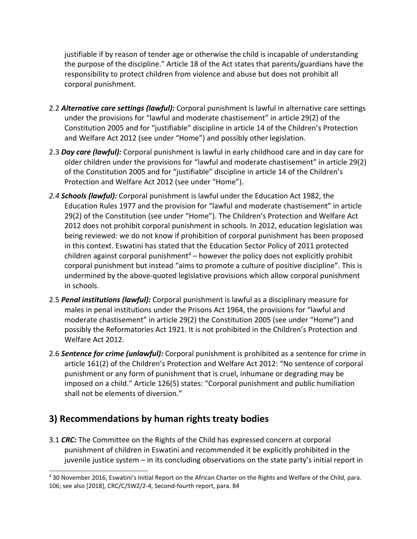justifiable if by reason of tender age or otherwise the child is incapable of understanding the purpose of the discipline." Article 18 of the Act states that parents/guardians have the responsibility to protect children from violence and abuse but does not prohibit all corporal punishment.

- 2.2 *Alternative care settings (lawful):* Corporal punishment is lawful in alternative care settings under the provisions for "lawful and moderate chastisement" in article 29(2) of the Constitution 2005 and for "justifiable" discipline in article 14 of the Children'<sup>s</sup> Protection and Welfare Act 2012 (see under "Home") and possibly other legislation.
- 2.3 *Day care (lawful):* Corporal punishment is lawful in early childhood care and in day care for older children under the provisions for "lawful and moderate chastisement" in article 29(2) of the Constitution 2005 and for "justifiable" discipline in article 14 of the Children'<sup>s</sup> Protection and Welfare Act 2012 (see under "Home").
- *2.4 Schools (lawful):* Corporal punishment is lawful under the Education Act 1982, the Education Rules 1977 and the provision for "lawful and moderate chastisement" in article 29(2) of the Constitution (see under "Home"). The Children'<sup>s</sup> Protection and Welfare Act 2012 does not prohibit corporal punishment in schools. In 2012, education legislation was being reviewed: we do not know if prohibition of corporal punishment has been proposed in this context. Eswatini has stated that the Education Sector Policy of 2011 protected children against corporal punishment<sup>4</sup> – however the policy does not explicitly prohibit corporal punishment but instead "aims to promote <sup>a</sup> culture of positive discipline". This is undermined by the above-quoted legislative provisions which allow corporal punishment in schools.
- 2.5 *Penal institutions (lawful):* Corporal punishment is lawful as <sup>a</sup> disciplinary measure for males in penal institutions under the Prisons Act 1964, the provisions for "lawful and moderate chastisement" in article 29(2) the Constitution 2005 (see under "Home") and possibly the Reformatories Act 1921. It is not prohibited in the Children'<sup>s</sup> Protection and Welfare Act 2012.
- 2.6 *Sentence for crime (unlawful):* Corporal punishment is prohibited as <sup>a</sup> sentence for crime in article 161(2) of the Children'<sup>s</sup> Protection and Welfare Act 2012: "No sentence of corporal punishment or any form of punishment that is cruel, inhumane or degrading may be imposed on <sup>a</sup> child." Article 126(5) states: "Corporal punishment and public humiliation shall not be elements of diversion."

## **3) Recommendations by human rights treaty bodies**

3.1 *CRC:* The Committee on the Rights of the Child has expressed concern at corporal punishment of children in Eswatini and recommended it be explicitly prohibited in the juvenile justice system – in its concluding observations on the state party'<sup>s</sup> initial report in

<sup>4</sup> 30 November 2016, Eswatini'<sup>s</sup> Initial Report on the African Charter on the Rights and Welfare of the Child, para. 106; see also [2018], CRC/C/SWZ/2-4, Second-fourth report, para. 84